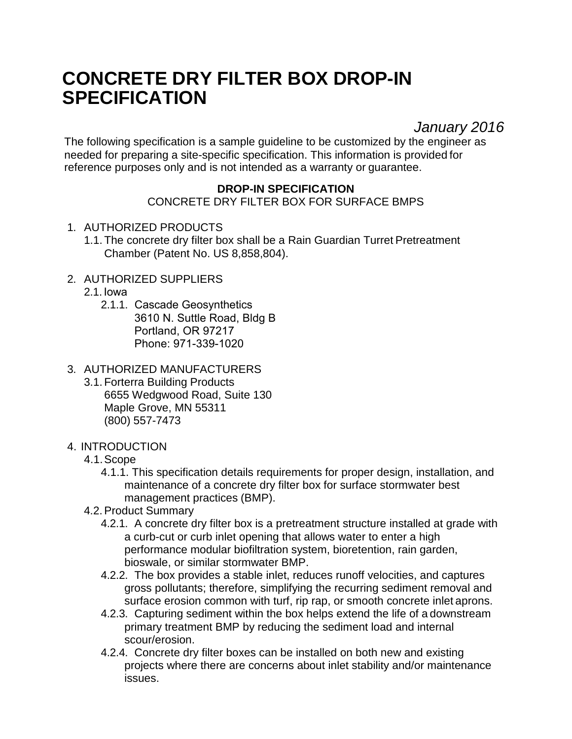# **CONCRETE DRY FILTER BOX DROP-IN SPECIFICATION**

*January 2016*

The following specification is a sample guideline to be customized by the engineer as needed for preparing a site-specific specification. This information is provided for reference purposes only and is not intended as a warranty or guarantee.

## **DROP-IN SPECIFICATION**

CONCRETE DRY FILTER BOX FOR SURFACE BMPS

- 1. AUTHORIZED PRODUCTS
	- 1.1. The concrete dry filter box shall be a Rain Guardian Turret Pretreatment Chamber (Patent No. US 8,858,804).
- 2. AUTHORIZED SUPPLIERS
	- 2.1. Iowa
		- 2.1.1. Cascade Geosynthetics 3610 N. Suttle Road, Bldg B Portland, OR 97217 Phone: 971-339-1020
- 3. AUTHORIZED MANUFACTURERS
	- 3.1. Forterra Building Products 6655 Wedgwood Road, Suite 130 Maple Grove, MN 55311 (800) 557-7473
- 4. INTRODUCTION
	- 4.1.Scope
		- 4.1.1. This specification details requirements for proper design, installation, and maintenance of a concrete dry filter box for surface stormwater best management practices (BMP).
	- 4.2.Product Summary
		- 4.2.1. A concrete dry filter box is a pretreatment structure installed at grade with a curb-cut or curb inlet opening that allows water to enter a high performance modular biofiltration system, bioretention, rain garden, bioswale, or similar stormwater BMP.
		- 4.2.2. The box provides a stable inlet, reduces runoff velocities, and captures gross pollutants; therefore, simplifying the recurring sediment removal and surface erosion common with turf, rip rap, or smooth concrete inlet aprons.
		- 4.2.3. Capturing sediment within the box helps extend the life of a downstream primary treatment BMP by reducing the sediment load and internal scour/erosion.
		- 4.2.4. Concrete dry filter boxes can be installed on both new and existing projects where there are concerns about inlet stability and/or maintenance issues.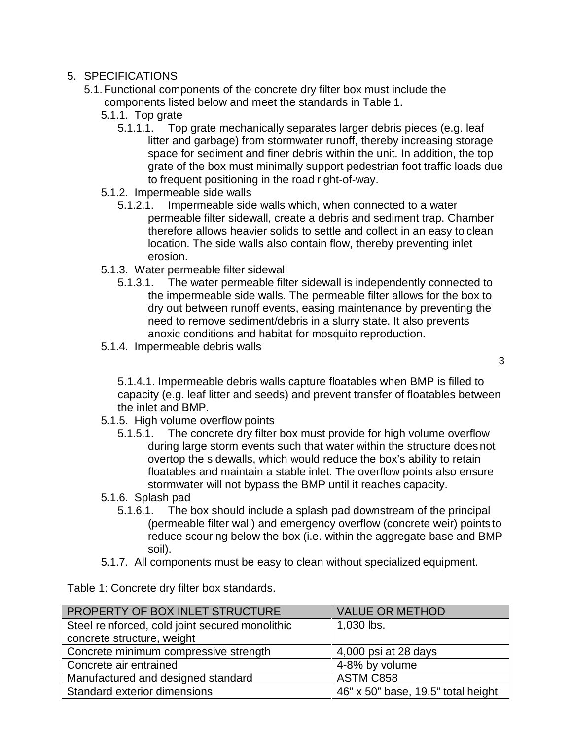## 5. SPECIFICATIONS

- 5.1. Functional components of the concrete dry filter box must include the components listed below and meet the standards in Table 1.
	- 5.1.1. Top grate
		- 5.1.1.1. Top grate mechanically separates larger debris pieces (e.g. leaf litter and garbage) from stormwater runoff, thereby increasing storage space for sediment and finer debris within the unit. In addition, the top grate of the box must minimally support pedestrian foot traffic loads due to frequent positioning in the road right-of-way.
	- 5.1.2. Impermeable side walls
		- 5.1.2.1. Impermeable side walls which, when connected to a water permeable filter sidewall, create a debris and sediment trap. Chamber therefore allows heavier solids to settle and collect in an easy to clean location. The side walls also contain flow, thereby preventing inlet erosion.
	- 5.1.3. Water permeable filter sidewall
		- 5.1.3.1. The water permeable filter sidewall is independently connected to the impermeable side walls. The permeable filter allows for the box to dry out between runoff events, easing maintenance by preventing the need to remove sediment/debris in a slurry state. It also prevents anoxic conditions and habitat for mosquito reproduction.
	- 5.1.4. Impermeable debris walls

5.1.4.1. Impermeable debris walls capture floatables when BMP is filled to capacity (e.g. leaf litter and seeds) and prevent transfer of floatables between the inlet and BMP.

- 5.1.5. High volume overflow points
	- 5.1.5.1. The concrete dry filter box must provide for high volume overflow during large storm events such that water within the structure does not overtop the sidewalls, which would reduce the box's ability to retain floatables and maintain a stable inlet. The overflow points also ensure stormwater will not bypass the BMP until it reaches capacity.
- 5.1.6. Splash pad
	- 5.1.6.1. The box should include a splash pad downstream of the principal (permeable filter wall) and emergency overflow (concrete weir) points to reduce scouring below the box (i.e. within the aggregate base and BMP soil).
- 5.1.7. All components must be easy to clean without specialized equipment.

Table 1: Concrete dry filter box standards.

| PROPERTY OF BOX INLET STRUCTURE                 | <b>VALUE OR METHOD</b>             |
|-------------------------------------------------|------------------------------------|
| Steel reinforced, cold joint secured monolithic | 1,030 lbs.                         |
| concrete structure, weight                      |                                    |
| Concrete minimum compressive strength           | 4,000 psi at 28 days               |
| Concrete air entrained                          | 4-8% by volume                     |
| Manufactured and designed standard              | ASTM C858                          |
| Standard exterior dimensions                    | 46" x 50" base, 19.5" total height |

3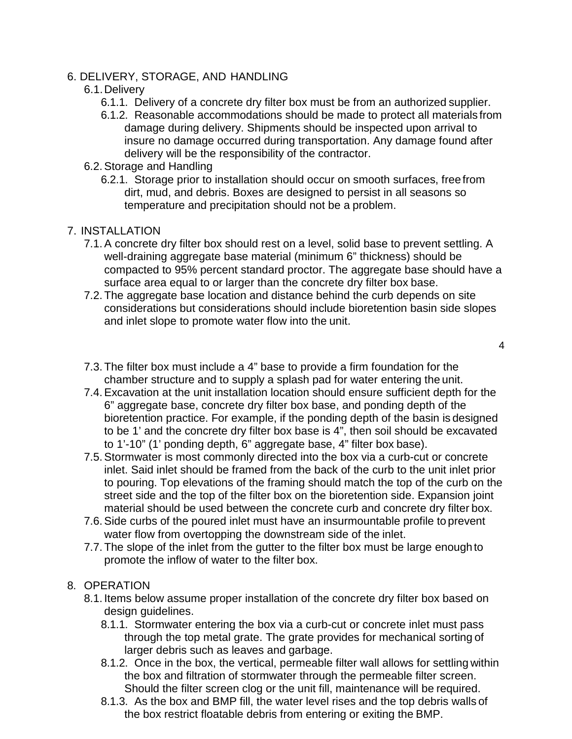### 6. DELIVERY, STORAGE, AND HANDLING

#### 6.1.Delivery

- 6.1.1. Delivery of a concrete dry filter box must be from an authorized supplier.
- 6.1.2. Reasonable accommodations should be made to protect all materials from damage during delivery. Shipments should be inspected upon arrival to insure no damage occurred during transportation. Any damage found after delivery will be the responsibility of the contractor.
- 6.2.Storage and Handling
	- 6.2.1. Storage prior to installation should occur on smooth surfaces, free from dirt, mud, and debris. Boxes are designed to persist in all seasons so temperature and precipitation should not be a problem.

### 7. INSTALLATION

- 7.1.A concrete dry filter box should rest on a level, solid base to prevent settling. A well-draining aggregate base material (minimum 6" thickness) should be compacted to 95% percent standard proctor. The aggregate base should have a surface area equal to or larger than the concrete dry filter box base.
- 7.2. The aggregate base location and distance behind the curb depends on site considerations but considerations should include bioretention basin side slopes and inlet slope to promote water flow into the unit.
	- 4
- 7.3. The filter box must include a 4" base to provide a firm foundation for the chamber structure and to supply a splash pad for water entering the unit.
- 7.4.Excavation at the unit installation location should ensure sufficient depth for the 6" aggregate base, concrete dry filter box base, and ponding depth of the bioretention practice. For example, if the ponding depth of the basin is designed to be 1' and the concrete dry filter box base is 4", then soil should be excavated to 1'-10" (1' ponding depth, 6" aggregate base, 4" filter box base).
- 7.5.Stormwater is most commonly directed into the box via a curb-cut or concrete inlet. Said inlet should be framed from the back of the curb to the unit inlet prior to pouring. Top elevations of the framing should match the top of the curb on the street side and the top of the filter box on the bioretention side. Expansion joint material should be used between the concrete curb and concrete dry filter box.
- 7.6.Side curbs of the poured inlet must have an insurmountable profile to prevent water flow from overtopping the downstream side of the inlet.
- 7.7. The slope of the inlet from the gutter to the filter box must be large enoughto promote the inflow of water to the filter box.

#### 8. OPERATION

- 8.1. Items below assume proper installation of the concrete dry filter box based on design guidelines.
	- 8.1.1. Stormwater entering the box via a curb-cut or concrete inlet must pass through the top metal grate. The grate provides for mechanical sorting of larger debris such as leaves and garbage.
	- 8.1.2. Once in the box, the vertical, permeable filter wall allows for settling within the box and filtration of stormwater through the permeable filter screen. Should the filter screen clog or the unit fill, maintenance will be required.
	- 8.1.3. As the box and BMP fill, the water level rises and the top debris walls of the box restrict floatable debris from entering or exiting the BMP.